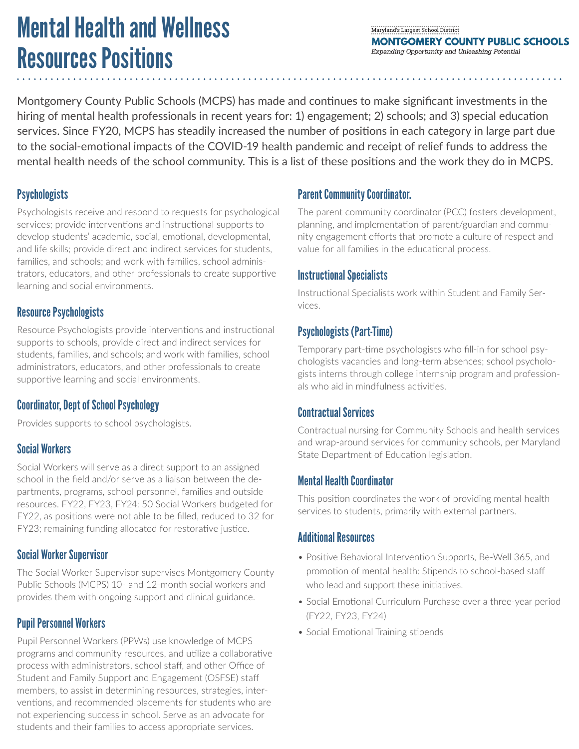# Mental Health and Wellness Resources Positions

#### Maryland's Largest School District **MONTGOMERY COUNTY PUBLIC SCHOOLS** Expanding Opportunity and Unleashing Potential

Montgomery County Public Schools (MCPS) has made and continues to make significant investments in the hiring of mental health professionals in recent years for: 1) engagement; 2) schools; and 3) special education services. Since FY20, MCPS has steadily increased the number of positions in each category in large part due to the social-emotional impacts of the COVID-19 health pandemic and receipt of relief funds to address the mental health needs of the school community. This is a list of these positions and the work they do in MCPS.

# **Psychologists**

Psychologists receive and respond to requests for psychological services; provide interventions and instructional supports to develop students' academic, social, emotional, developmental, and life skills; provide direct and indirect services for students, families, and schools; and work with families, school administrators, educators, and other professionals to create supportive learning and social environments.

### Resource Psychologists

Resource Psychologists provide interventions and instructional supports to schools, provide direct and indirect services for students, families, and schools; and work with families, school administrators, educators, and other professionals to create supportive learning and social environments.

# Coordinator, Dept of School Psychology

Provides supports to school psychologists.

# Social Workers

Social Workers will serve as a direct support to an assigned school in the field and/or serve as a liaison between the departments, programs, school personnel, families and outside resources. FY22, FY23, FY24: 50 Social Workers budgeted for FY22, as positions were not able to be filled, reduced to 32 for FY23; remaining funding allocated for restorative justice.

# Social Worker Supervisor

The Social Worker Supervisor supervises Montgomery County Public Schools (MCPS) 10- and 12-month social workers and provides them with ongoing support and clinical guidance.

### Pupil Personnel Workers

Pupil Personnel Workers (PPWs) use knowledge of MCPS programs and community resources, and utilize a collaborative process with administrators, school staff, and other Office of Student and Family Support and Engagement (OSFSE) staff members, to assist in determining resources, strategies, interventions, and recommended placements for students who are not experiencing success in school. Serve as an advocate for students and their families to access appropriate services.

# Parent Community Coordinator.

The parent community coordinator (PCC) fosters development, planning, and implementation of parent/guardian and community engagement efforts that promote a culture of respect and value for all families in the educational process.

#### Instructional Specialists

Instructional Specialists work within Student and Family Services.

# Psychologists (Part-Time)

Temporary part-time psychologists who fill-in for school psychologists vacancies and long-term absences; school psychologists interns through college internship program and professionals who aid in mindfulness activities.

### Contractual Services

Contractual nursing for Community Schools and health services and wrap-around services for community schools, per Maryland State Department of Education legislation.

#### Mental Health Coordinator

This position coordinates the work of providing mental health services to students, primarily with external partners.

#### Additional Resources

- Positive Behavioral Intervention Supports, Be-Well 365, and promotion of mental health: Stipends to school-based staff who lead and support these initiatives.
- Social Emotional Curriculum Purchase over a three-year period (FY22, FY23, FY24)
- Social Emotional Training stipends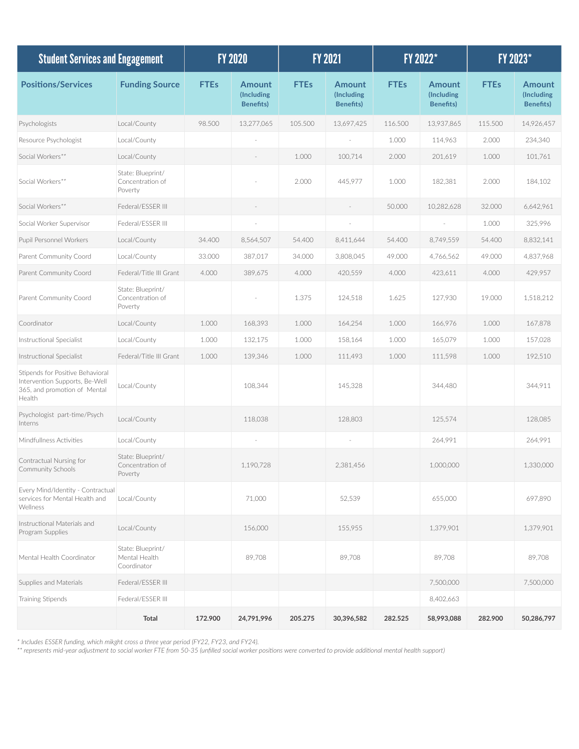| <b>Student Services and Engagement</b>                                                                       |                                                   | <b>FY 2020</b> |                                           | <b>FY 2021</b> |                                           | FY 2022*    |                                           | FY 2023*    |                                                 |
|--------------------------------------------------------------------------------------------------------------|---------------------------------------------------|----------------|-------------------------------------------|----------------|-------------------------------------------|-------------|-------------------------------------------|-------------|-------------------------------------------------|
| <b>Positions/Services</b>                                                                                    | <b>Funding Source</b>                             | <b>FTEs</b>    | Amount<br>(Including<br><b>Benefits</b> ) | <b>FTEs</b>    | Amount<br>(Including<br><b>Benefits</b> ) | <b>FTEs</b> | Amount<br>(Including<br><b>Benefits</b> ) | <b>FTEs</b> | <b>Amount</b><br>(Including<br><b>Benefits)</b> |
| Psychologists                                                                                                | Local/County                                      | 98.500         | 13,277,065                                | 105.500        | 13,697,425                                | 116.500     | 13,937,865                                | 115.500     | 14,926,457                                      |
| Resource Psychologist                                                                                        | Local/County                                      |                |                                           |                |                                           | 1.000       | 114,963                                   | 2.000       | 234,340                                         |
| Social Workers**                                                                                             | Local/County                                      |                |                                           | 1.000          | 100,714                                   | 2.000       | 201,619                                   | 1.000       | 101,761                                         |
| Social Workers**                                                                                             | State: Blueprint/<br>Concentration of<br>Poverty  |                |                                           | 2.000          | 445,977                                   | 1.000       | 182,381                                   | 2.000       | 184,102                                         |
| Social Workers**                                                                                             | Federal/ESSER III                                 |                |                                           |                |                                           | 50.000      | 10,282,628                                | 32.000      | 6,642,961                                       |
| Social Worker Supervisor                                                                                     | Federal/ESSER III                                 |                |                                           |                |                                           |             |                                           | 1.000       | 325,996                                         |
| Pupil Personnel Workers                                                                                      | Local/County                                      | 34.400         | 8,564,507                                 | 54.400         | 8,411,644                                 | 54.400      | 8,749,559                                 | 54.400      | 8,832,141                                       |
| Parent Community Coord                                                                                       | Local/County                                      | 33.000         | 387,017                                   | 34.000         | 3,808,045                                 | 49.000      | 4,766,562                                 | 49.000      | 4,837,968                                       |
| Parent Community Coord                                                                                       | Federal/Title III Grant                           | 4.000          | 389,675                                   | 4.000          | 420,559                                   | 4.000       | 423,611                                   | 4.000       | 429,957                                         |
| Parent Community Coord                                                                                       | State: Blueprint/<br>Concentration of<br>Poverty  |                |                                           | 1.375          | 124,518                                   | 1.625       | 127,930                                   | 19.000      | 1,518,212                                       |
| Coordinator                                                                                                  | Local/County                                      | 1.000          | 168,393                                   | 1.000          | 164,254                                   | 1.000       | 166,976                                   | 1.000       | 167,878                                         |
| Instructional Specialist                                                                                     | Local/County                                      | 1.000          | 132,175                                   | 1.000          | 158,164                                   | 1.000       | 165,079                                   | 1.000       | 157,028                                         |
| Instructional Specialist                                                                                     | Federal/Title III Grant                           | 1.000          | 139,346                                   | 1.000          | 111,493                                   | 1.000       | 111,598                                   | 1.000       | 192,510                                         |
| Stipends for Positive Behavioral<br>Intervention Supports, Be-Well<br>365, and promotion of Mental<br>Health | Local/County                                      |                | 108,344                                   |                | 145,328                                   |             | 344,480                                   |             | 344,911                                         |
| Psychologist part-time/Psych<br>Interns                                                                      | Local/County                                      |                | 118,038                                   |                | 128,803                                   |             | 125,574                                   |             | 128,085                                         |
| Mindfullness Activities                                                                                      | Local/County                                      |                |                                           |                |                                           |             | 264,991                                   |             | 264,991                                         |
| Contractual Nursing for<br>Community Schools                                                                 | State: Blueprint/<br>Concentration of<br>Poverty  |                | 1,190,728                                 |                | 2,381,456                                 |             | 1.000.000                                 |             | 1,330,000                                       |
| Every Mind/Identity - Contractual<br>services for Mental Health and<br>Wellness                              | Local/County                                      |                | 71,000                                    |                | 52,539                                    |             | 655,000                                   |             | 697,890                                         |
| Instructional Materials and<br>Program Supplies                                                              | Local/County                                      |                | 156,000                                   |                | 155,955                                   |             | 1,379,901                                 |             | 1,379,901                                       |
| Mental Health Coordinator                                                                                    | State: Blueprint/<br>Mental Health<br>Coordinator |                | 89,708                                    |                | 89,708                                    |             | 89,708                                    |             | 89,708                                          |
| Supplies and Materials                                                                                       | Federal/ESSER III                                 |                |                                           |                |                                           |             | 7,500,000                                 |             | 7,500,000                                       |
| Training Stipends                                                                                            | Federal/ESSER III                                 |                |                                           |                |                                           |             | 8,402,663                                 |             |                                                 |
|                                                                                                              | Total                                             | 172.900        | 24,791,996                                | 205.275        | 30,396,582                                | 282.525     | 58,993,088                                | 282.900     | 50,286,797                                      |

*\* Includes ESSER funding, which mikght cross a three year period (FY22, FY23, and FY24).*

*\*\* represents mid-year adjustment to social worker FTE from 50-35 (unfilled social worker positions were converted to provide additional mental health support)*